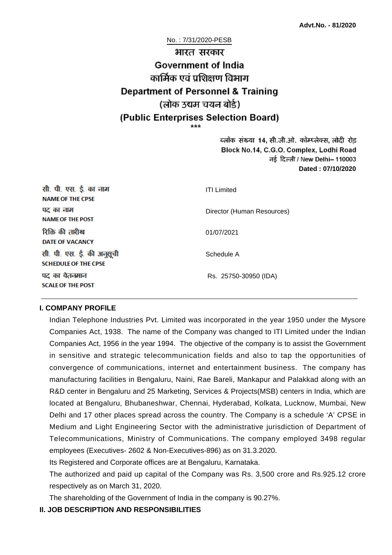# No. : 7/31/2020-PESB भारत सरकार **Government of India** कार्मिक एवं पशिक्षण विभाग **Department of Personnel & Training** (लोक उद्यम चयन बोर्ड) (Public Enterprises Selection Board)

ब्लॉक संख्या 14, सी.जी.ओ. कॉम्प्लेक्स, लोदी रोड Block No.14, C.G.O. Complex, Lodhi Road ਰई दिल्ली / New Delhi– 110003 **Dated : 07/10/2020**

| सी. पी. एस. ई. का नाम<br><b>NAME OF THE CPSE</b>         | <b>ITI Limited</b>         |
|----------------------------------------------------------|----------------------------|
| पद का नाम<br><b>NAME OF THE POST</b>                     | Director (Human Resources) |
| रिक्ति की तारीख<br><b>DATE OF VACANCY</b>                | 01/07/2021                 |
| सी. पी. एस. ई. की अनुसूची<br><b>SCHEDULE OF THE CPSE</b> | Schedule A                 |
| पद का वेतनमान<br><b>SCALE OF THE POST</b>                | Rs. 25750-30950 (IDA)      |

#### **I. COMPANY PROFILE**

Indian Telephone Industries Pvt. Limited was incorporated in the year 1950 under the Mysore Companies Act, 1938. The name of the Company was changed to ITI Limited under the Indian Companies Act, 1956 in the year 1994. The objective of the company is to assist the Government in sensitive and strategic telecommunication fields and also to tap the opportunities of convergence of communications, internet and entertainment business. The company has manufacturing facilities in Bengaluru, Naini, Rae Bareli, Mankapur and Palakkad along with an R&D center in Bengaluru and 25 Marketing, Services & Projects(MSB) centers in India, which are located at Bengaluru, Bhubaneshwar, Chennai, Hyderabad, Kolkata, Lucknow, Mumbai, New Delhi and 17 other places spread across the country. The Company is a schedule 'A' CPSE in Medium and Light Engineering Sector with the administrative jurisdiction of Department of Telecommunications, Ministry of Communications. The company employed 3498 regular employees (Executives- 2602 & Non-Executives-896) as on 31.3.2020.

Its Registered and Corporate offices are at Bengaluru, Karnataka.

The authorized and paid up capital of the Company was Rs. 3,500 crore and Rs.925.12 crore respectively as on March 31, 2020.

The shareholding of the Government of India in the company is 90.27%.

#### **II. JOB DESCRIPTION AND RESPONSIBILITIES**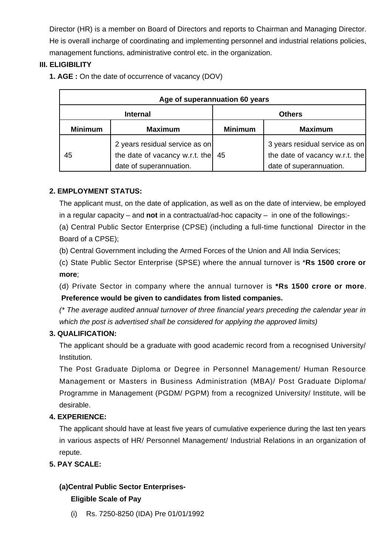Director (HR) is a member on Board of Directors and reports to Chairman and Managing Director. He is overall incharge of coordinating and implementing personnel and industrial relations policies, management functions, administrative control etc. in the organization.

# **III. ELIGIBILITY**

**1. AGE :** On the date of occurrence of vacancy (DOV)

| Age of superannuation 60 years |                                                                                             |                |                                                                                             |  |
|--------------------------------|---------------------------------------------------------------------------------------------|----------------|---------------------------------------------------------------------------------------------|--|
| <b>Internal</b>                |                                                                                             | <b>Others</b>  |                                                                                             |  |
| <b>Minimum</b>                 | <b>Maximum</b>                                                                              | <b>Minimum</b> | <b>Maximum</b>                                                                              |  |
| 45                             | 2 years residual service as on<br>the date of vacancy w.r.t. the<br>date of superannuation. | 45             | 3 years residual service as on<br>the date of vacancy w.r.t. the<br>date of superannuation. |  |

# **2. EMPLOYMENT STATUS:**

The applicant must, on the date of application, as well as on the date of interview, be employed in a regular capacity – and **not** in a contractual/ad-hoc capacity – in one of the followings:-

(a) Central Public Sector Enterprise (CPSE) (including a full-time functional Director in the Board of a CPSE);

(b) Central Government including the Armed Forces of the Union and All India Services;

(c) State Public Sector Enterprise (SPSE) where the annual turnover is \***Rs 1500 crore or more**;

(d) Private Sector in company where the annual turnover is **\*Rs 1500 crore or more**.  **Preference would be given to candidates from listed companies.**

(\* The average audited annual turnover of three financial years preceding the calendar year in which the post is advertised shall be considered for applying the approved limits)

# **3. QUALIFICATION:**

The applicant should be a graduate with good academic record from a recognised University/ Institution.

The Post Graduate Diploma or Degree in Personnel Management/ Human Resource Management or Masters in Business Administration (MBA)/ Post Graduate Diploma/ Programme in Management (PGDM/ PGPM) from a recognized University/ Institute, will be desirable.

# **4. EXPERIENCE:**

The applicant should have at least five years of cumulative experience during the last ten years in various aspects of HR/ Personnel Management/ Industrial Relations in an organization of repute.

# **5. PAY SCALE:**

# **(a)Central Public Sector Enterprises-**

#### **Eligible Scale of Pay**

(i) Rs. 7250-8250 (IDA) Pre 01/01/1992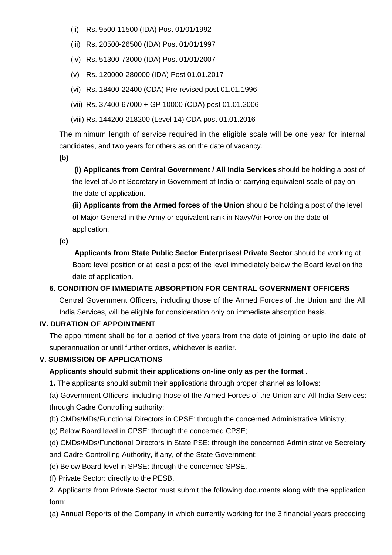- (ii) Rs. 9500-11500 (IDA) Post 01/01/1992
- (iii) Rs. 20500-26500 (IDA) Post 01/01/1997
- (iv) Rs. 51300-73000 (IDA) Post 01/01/2007
- (v) Rs. 120000-280000 (IDA) Post 01.01.2017
- (vi) Rs. 18400-22400 (CDA) Pre-revised post 01.01.1996
- (vii) Rs. 37400-67000 + GP 10000 (CDA) post 01.01.2006
- (viii) Rs. 144200-218200 (Level 14) CDA post 01.01.2016

The minimum length of service required in the eligible scale will be one year for internal candidates, and two years for others as on the date of vacancy.

**(b)**

**(i) Applicants from Central Government / All India Services** should be holding a post of the level of Joint Secretary in Government of India or carrying equivalent scale of pay on the date of application.

**(ii) Applicants from the Armed forces of the Union** should be holding a post of the level of Major General in the Army or equivalent rank in Navy/Air Force on the date of application.

**(c)**

 **Applicants from State Public Sector Enterprises/ Private Sector** should be working at Board level position or at least a post of the level immediately below the Board level on the date of application.

# **6. CONDITION OF IMMEDIATE ABSORPTION FOR CENTRAL GOVERNMENT OFFICERS**

Central Government Officers, including those of the Armed Forces of the Union and the All India Services, will be eligible for consideration only on immediate absorption basis.

# **IV. DURATION OF APPOINTMENT**

The appointment shall be for a period of five years from the date of joining or upto the date of superannuation or until further orders, whichever is earlier.

#### **V. SUBMISSION OF APPLICATIONS**

# **Applicants should submit their applications on-line only as per the format .**

**1.** The applicants should submit their applications through proper channel as follows:

(a) Government Officers, including those of the Armed Forces of the Union and All India Services: through Cadre Controlling authority;

- (b) CMDs/MDs/Functional Directors in CPSE: through the concerned Administrative Ministry;
- (c) Below Board level in CPSE: through the concerned CPSE;

(d) CMDs/MDs/Functional Directors in State PSE: through the concerned Administrative Secretary and Cadre Controlling Authority, if any, of the State Government;

- (e) Below Board level in SPSE: through the concerned SPSE.
- (f) Private Sector: directly to the PESB.

**2**. Applicants from Private Sector must submit the following documents along with the application form:

(a) Annual Reports of the Company in which currently working for the 3 financial years preceding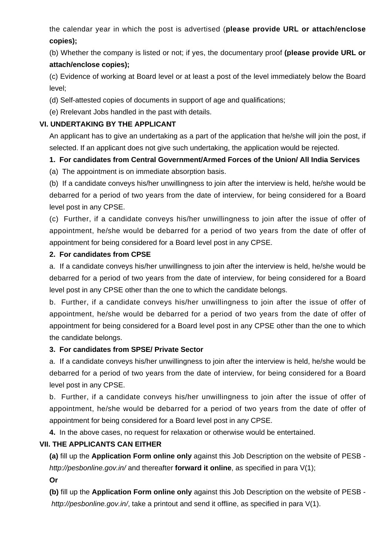the calendar year in which the post is advertised (**please provide URL or attach/enclose copies);**

(b) Whether the company is listed or not; if yes, the documentary proof **(please provide URL or attach/enclose copies);**

(c) Evidence of working at Board level or at least a post of the level immediately below the Board level;

(d) Self-attested copies of documents in support of age and qualifications;

(e) Rrelevant Jobs handled in the past with details.

#### **VI. UNDERTAKING BY THE APPLICANT**

An applicant has to give an undertaking as a part of the application that he/she will join the post, if selected. If an applicant does not give such undertaking, the application would be rejected.

# **1. For candidates from Central Government/Armed Forces of the Union/ All India Services**

(a) The appointment is on immediate absorption basis.

(b) If a candidate conveys his/her unwillingness to join after the interview is held, he/she would be debarred for a period of two years from the date of interview, for being considered for a Board level post in any CPSE.

(c) Further, if a candidate conveys his/her unwillingness to join after the issue of offer of appointment, he/she would be debarred for a period of two years from the date of offer of appointment for being considered for a Board level post in any CPSE.

#### **2. For candidates from CPSE**

a. If a candidate conveys his/her unwillingness to join after the interview is held, he/she would be debarred for a period of two years from the date of interview, for being considered for a Board level post in any CPSE other than the one to which the candidate belongs.

b. Further, if a candidate conveys his/her unwillingness to join after the issue of offer of appointment, he/she would be debarred for a period of two years from the date of offer of appointment for being considered for a Board level post in any CPSE other than the one to which the candidate belongs.

#### **3. For candidates from SPSE/ Private Sector**

a. If a candidate conveys his/her unwillingness to join after the interview is held, he/she would be debarred for a period of two years from the date of interview, for being considered for a Board level post in any CPSE.

b. Further, if a candidate conveys his/her unwillingness to join after the issue of offer of appointment, he/she would be debarred for a period of two years from the date of offer of appointment for being considered for a Board level post in any CPSE.

**4.** In the above cases, no request for relaxation or otherwise would be entertained.

# **VII. THE APPLICANTS CAN EITHER**

**(a)** fill up the **Application Form online only** against this Job Description on the website of PESB http://pesbonline.gov.in/ and thereafter **forward it online**, as specified in para V(1);

**Or**

**(b)** fill up the **Application Form online only** against this Job Description on the website of PESB http://pesbonline.gov.in/, take a printout and send it offline, as specified in para V(1).